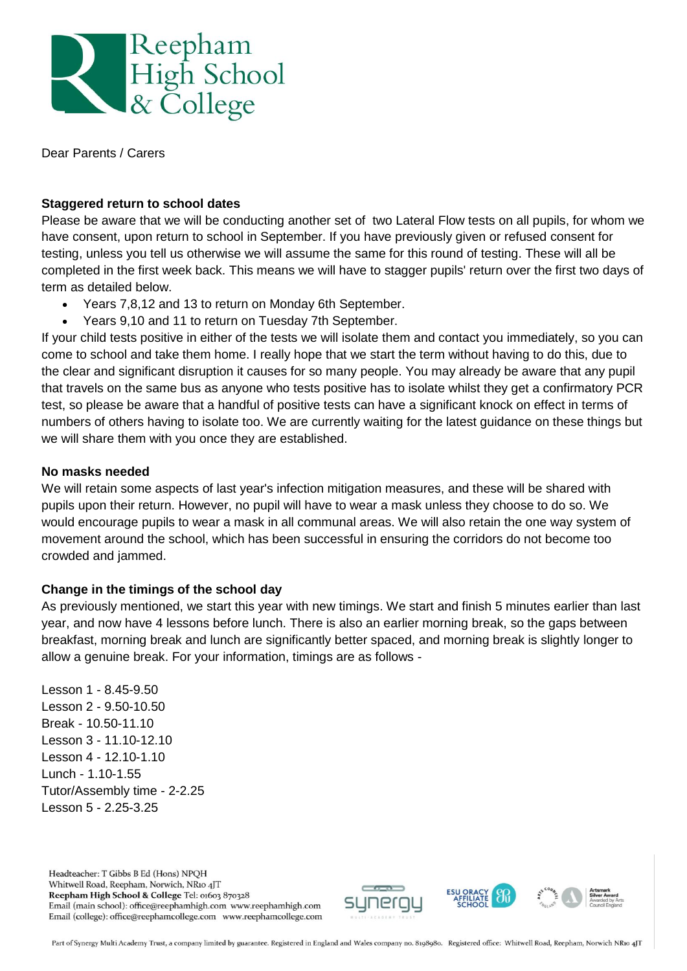

Dear Parents / Carers

# **Staggered return to school dates**

Please be aware that we will be conducting another set of two Lateral Flow tests on all pupils, for whom we have consent, upon return to school in September. If you have previously given or refused consent for testing, unless you tell us otherwise we will assume the same for this round of testing. These will all be completed in the first week back. This means we will have to stagger pupils' return over the first two days of term as detailed below.

- Years 7,8,12 and 13 to return on Monday 6th September.
- Years 9,10 and 11 to return on Tuesday 7th September.

If your child tests positive in either of the tests we will isolate them and contact you immediately, so you can come to school and take them home. I really hope that we start the term without having to do this, due to the clear and significant disruption it causes for so many people. You may already be aware that any pupil that travels on the same bus as anyone who tests positive has to isolate whilst they get a confirmatory PCR test, so please be aware that a handful of positive tests can have a significant knock on effect in terms of numbers of others having to isolate too. We are currently waiting for the latest guidance on these things but we will share them with you once they are established.

## **No masks needed**

We will retain some aspects of last year's infection mitigation measures, and these will be shared with pupils upon their return. However, no pupil will have to wear a mask unless they choose to do so. We would encourage pupils to wear a mask in all communal areas. We will also retain the one way system of movement around the school, which has been successful in ensuring the corridors do not become too crowded and jammed.

## **Change in the timings of the school day**

As previously mentioned, we start this year with new timings. We start and finish 5 minutes earlier than last year, and now have 4 lessons before lunch. There is also an earlier morning break, so the gaps between breakfast, morning break and lunch are significantly better spaced, and morning break is slightly longer to allow a genuine break. For your information, timings are as follows -

Lesson 1 - 8.45-9.50 Lesson 2 - 9.50-10.50 Break - 10.50-11.10 Lesson 3 - 11.10-12.10 Lesson 4 - 12.10-1.10 Lunch - 1.10-1.55 Tutor/Assembly time - 2-2.25 Lesson 5 - 2.25-3.25

Headteacher: T Gibbs B Ed (Hons) NPOH Whitwell Road, Reepham, Norwich, NR10 4JT Reepham High School & College Tel: 01603 870328 Email (main school): office@reephamhigh.com www.reephamhigh.com Email (college): office@reephamcollege.com www.reephamcollege.com